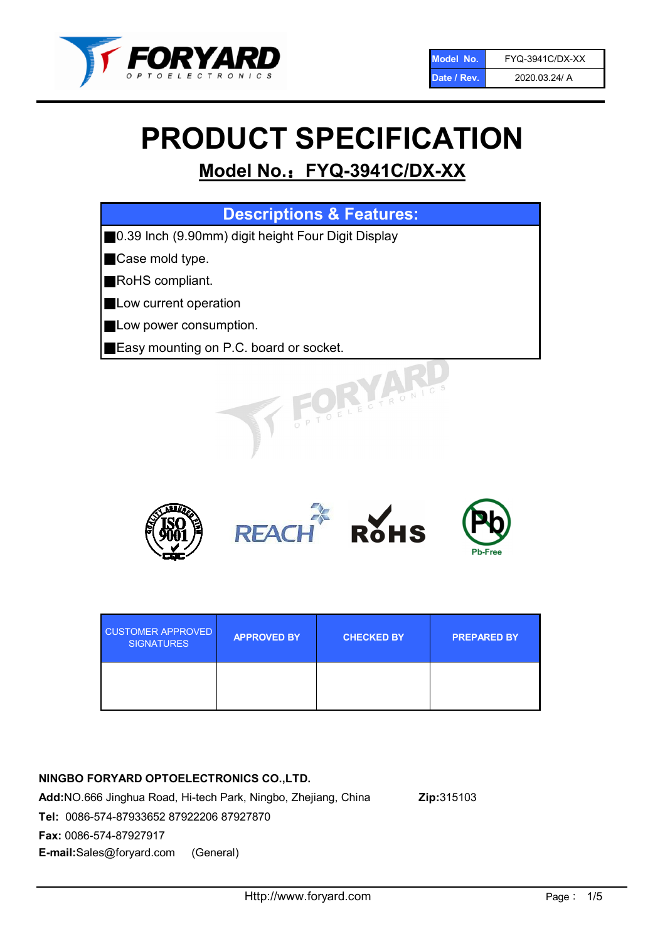

# PRODUCT SPECIFICATION

# Model No.: FYQ-3941C/DX-XX

| <b>Descriptions &amp; Features:</b>                |
|----------------------------------------------------|
| 0.39 Inch (9.90mm) digit height Four Digit Display |
| Case mold type.                                    |
| RoHS compliant.                                    |
| Low current operation                              |
| Low power consumption.                             |
| Easy mounting on P.C. board or socket.             |
| TOELECTRONIC                                       |



| <b>CUSTOMER APPROVED</b><br><b>SIGNATURES</b> | <b>APPROVED BY</b> | <b>CHECKED BY</b> | <b>PREPARED BY</b> |
|-----------------------------------------------|--------------------|-------------------|--------------------|
|                                               |                    |                   |                    |

### NINGBO FORYARD OPTOELECTRONICS CO.,LTD.

Add:NO.666 Jinghua Road, Hi-tech Park, Ningbo, Zhejiang, China Zip:315103 Tel: 0086-574-87933652 87922206 87927870 Fax: 0086-574-87927917 E-mail:Sales@foryard.com (General)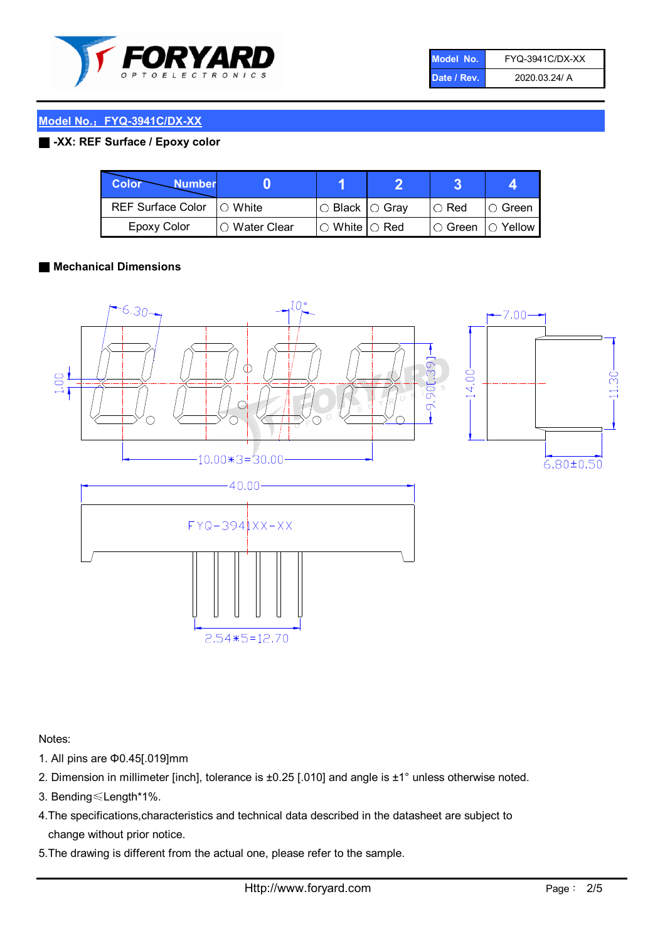

| Model No.   | FYQ-3941C/DX-XX |
|-------------|-----------------|
| Date / Rev. | 2020.03.24/ A   |

#### ■ -XX: REF Surface / Epoxy color

| Color<br><b>Number</b>      |                |                                                   |             |                |
|-----------------------------|----------------|---------------------------------------------------|-------------|----------------|
| REF Surface Color   O White |                | ○ Black  ○ Gray                                   | $\circ$ Red | $\circ$ Green  |
| Epoxy Color                 | I⊖ Water Clear | $\mathbin{\varcap}$ White $\mathbin{\varcap}$ Red | IO Green∶   | $\circ$ Yellow |

#### ■ Mechanical Dimensions



Notes:

- 1. All pins are Φ0.45[.019]mm
- 2. Dimension in millimeter [inch], tolerance is ±0.25 [.010] and angle is ±1° unless otherwise noted.
- 3. Bending≤Length\*1%.
- 4.The specifications,characteristics and technical data described in the datasheet are subject to change without prior notice.
- 5.The drawing is different from the actual one, please refer to the sample.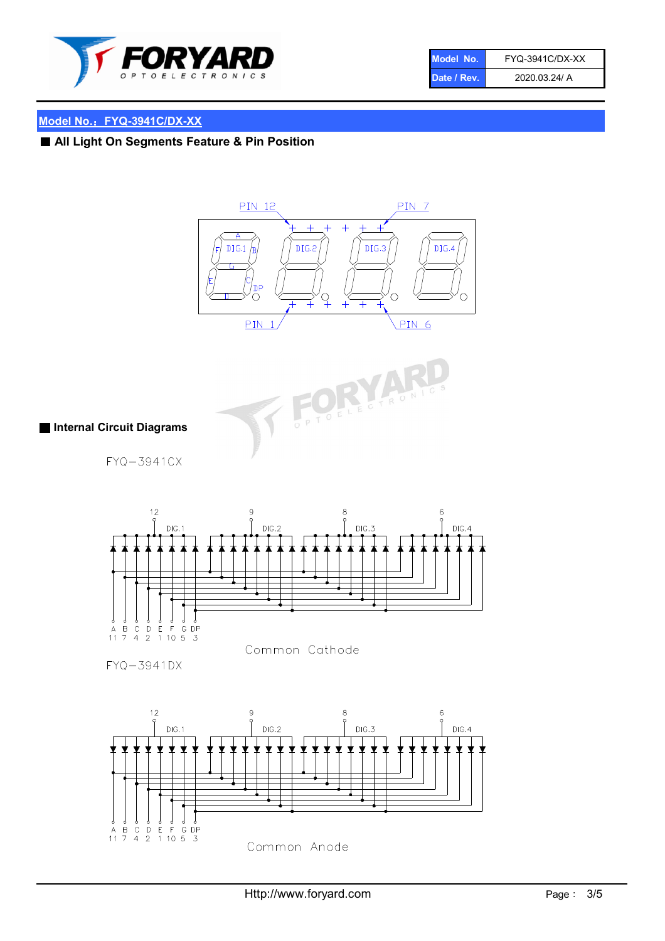

| Model No.   | <b>FYQ-3941C/DX-XX</b> |
|-------------|------------------------|
| Date / Rev. | 2020.03.24/ A          |

# ■ All Light On Segments Feature & Pin Position





#### ■ Internal Circuit Diagrams

FYQ-3941CX



FYQ-3941DX

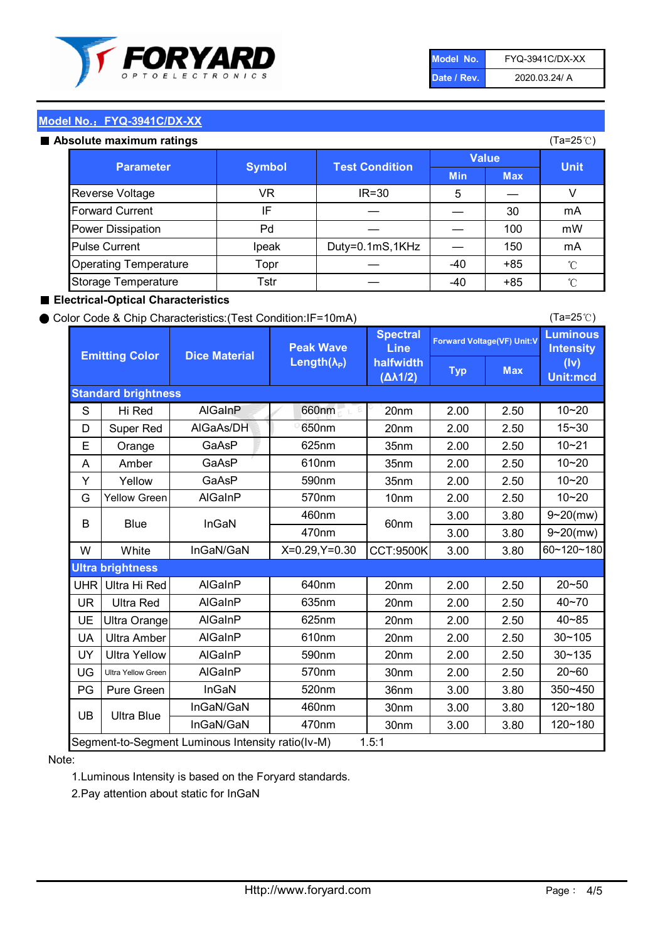

| Model No.   | FYQ-3941C/DX-XX |
|-------------|-----------------|
| Date / Rev. | 2020.03.24/ A   |

#### Absolute maximum

| ISUIULU IIIAAIIIIUIIII TALIIIYS |               |                       |              | (⊺a−∠J ∪ <i>)</i> |              |
|---------------------------------|---------------|-----------------------|--------------|-------------------|--------------|
| <b>Parameter</b>                | <b>Symbol</b> | <b>Test Condition</b> | <b>Value</b> |                   | <b>Unit</b>  |
|                                 |               |                       | <b>Min</b>   | <b>Max</b>        |              |
| Reverse Voltage                 | VR            | $IR = 30$             | 5            |                   |              |
| <b>Forward Current</b>          | ΙF            |                       |              | 30                | mA           |
| Power Dissipation               | Pd            |                       |              | 100               | mW           |
| <b>Pulse Current</b>            | Ipeak         | Duty=0.1mS,1KHz       |              | 150               | mA           |
| <b>Operating Temperature</b>    | Topr          |                       | $-40$        | $+85$             | $^{\circ}$ C |
| Storage Temperature             | Tstr          |                       | $-40$        | $+85$             | °C           |

#### ■ Electrical-Optical Characteristics

#### ● Color Code & Chip Characteristics:(Test Condition:IF=10mA)

Typ Max S | Hi $\textsf{Red}$  | AlGaInP | 660nm LE 20nm | 2.00 | 2.50 D | Super Red | AIGaAs/DH | 650nm | 20nm | 2.00 | 2.50 E | Orange | GaAsP | 625nm | 35nm | 2.00 | 2.50 A | Amber | GaAsP | 610nm | 35nm | 2.00 | 2.50 Y | Yellow | GaAsP | 590nm | 35nm | 2.00 | 2.50 G Yellow Green AIGaInP | 570nm | 10nm | 2.00 | 2.50 3.00 3.80 3.00 3.80 W | White | InGaN/GaN | X=0.29,Y=0.30 |CCT:9500K| 3.00 | 3.80 UHR Ultra Hi Red  $\vert$  AIGaInP  $\vert$  640nm  $\vert$  20nm  $\vert$  2.00  $\vert$  2.50 UR | Ultra Red | AlGaInP | 635nm | 20nm | 2.00 | 2.50 UE Ultra Orange | AIGaInP | 625nm | 20nm | 2.00 | 2.50 UA Ultra Amber | AIGaInP | 610nm | 20nm | 2.00 | 2.50  $UV$  Ultra Yellow  $\vert$  AlGaInP  $\vert$  590nm  $\vert$  20nm  $\vert$  2.00  $\vert$  2.50  $\text{UG}$  Ultra Yellow Green | AIGaInP | 570nm | 30nm | 2.00 | 2.50 PG | Pure Green | InGaN | 520nm | 36nm | 3.00 | 3.80 30nm 3.00 3.80 30nm 3.00 3.80 40~85 60~120~180 40~70 Segment-to-Segment Luminous Intensity ratio(Iv-M) 1.5:1 610nm 9~20(mw) 350~450 470nm 120~180 120~180 Ultra Blue InGaN/GaN 9~20(mw) 20~50 570nm | 30nm | 2.00 | 2.50 | 20~60 470nm 590nm InGaN/GaN B Blue I InGaN 570nm | 10nm | 2.00 | 2.50 | 10~20 30~105 30~135 460nm 520nm Ultra brightness **AlGaInP** AlGaInP 60nm AlGaInP 640nm Peak Wave Length $(\lambda_{\rm P})$ UB 460nm 635nm AlGaInP AlGaInP AlGaInP InGaN/GaN AlGaInP 10~20 Luminous **Intensity** (Iv) Unit:mcd AlGainP 660nm GaAsP GaAsP AlGaAs/DH **Spectral** Line halfwidth (∆λ1/2) 10~20 Standard brightness Forward Voltage(VF) Unit:V 15~30 10~20 625nm GaAsP 590nm **Emitting Color Dice Material** 10~21 610nm

#### Note:

1.Luminous Intensity is based on the Foryard standards.

2.Pay attention about static for InGaN

(Ta=25℃)

(Ta=25℃)